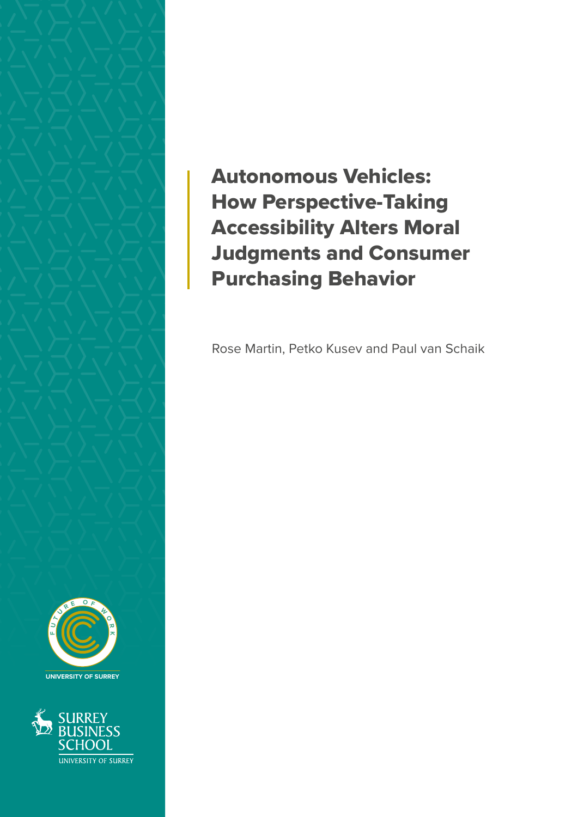

**F U**  $\lambda$ **U <sup>R</sup> <sup>E</sup> <sup>O</sup> <sup>F</sup> W O R K UNIVERSITY OF SURREY**



Autonomous Vehicles: How Perspective-Taking Accessibility Alters Moral Judgments and Consumer Purchasing Behavior

Rose Martin, Petko Kusev and Paul van Schaik